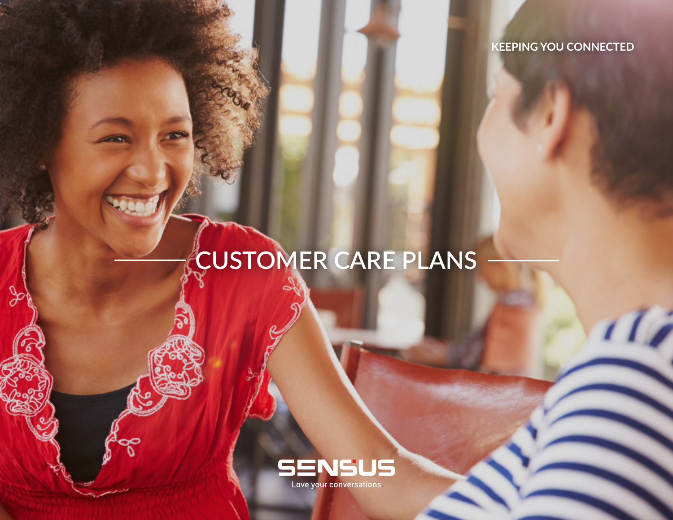**KEEPING YOU CONNECTED**

ŋ

# **CUSTOMER CARE PLANS**

 $\infty$